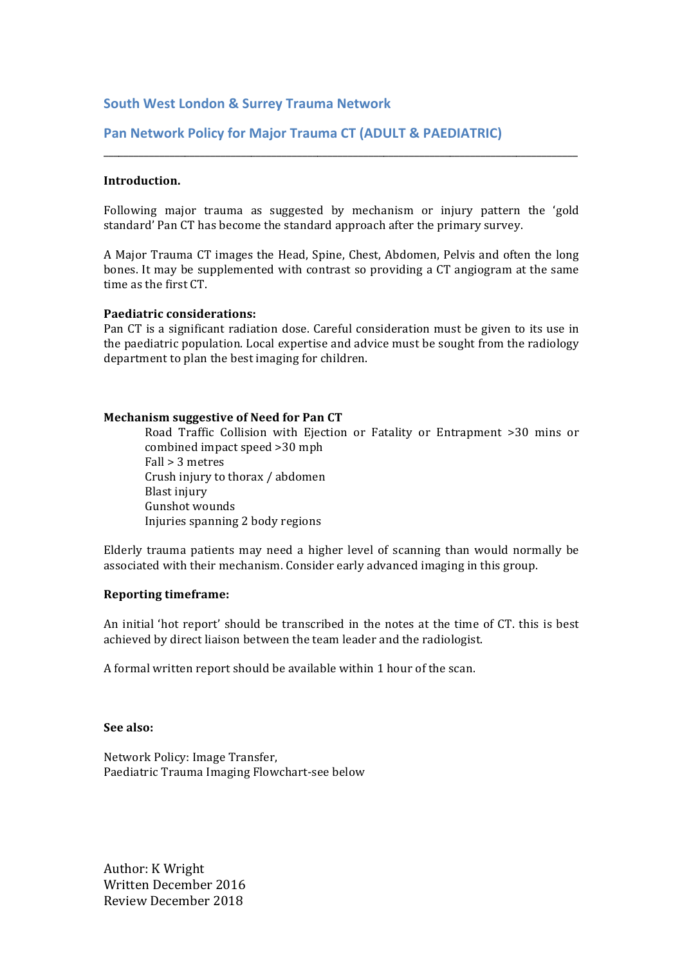### **South West London & Surrey Trauma Network**

## **Pan Network Policy for Major Trauma CT (ADULT & PAEDIATRIC)**

#### **Introduction.**

Following major trauma as suggested by mechanism or injury pattern the 'gold standard' Pan CT has become the standard approach after the primary survey.

\_\_\_\_\_\_\_\_\_\_\_\_\_\_\_\_\_\_\_\_\_\_\_\_\_\_\_\_\_\_\_\_\_\_\_\_\_\_\_\_\_\_\_\_\_\_\_\_\_\_\_\_\_\_\_\_\_\_\_\_\_\_\_\_\_\_\_\_\_\_\_\_\_\_\_\_\_\_\_\_\_\_\_\_\_\_\_\_\_\_\_\_\_

A Major Trauma CT images the Head, Spine, Chest, Abdomen, Pelvis and often the long bones. It may be supplemented with contrast so providing a CT angiogram at the same time as the first CT.

#### **Paediatric considerations:**

Pan CT is a significant radiation dose. Careful consideration must be given to its use in the paediatric population. Local expertise and advice must be sought from the radiology department to plan the best imaging for children.

#### **Mechanism suggestive of Need for Pan CT**

Road Traffic Collision with Ejection or Fatality or Entrapment >30 mins or combined impact speed >30 mph  $Fall > 3$  metres Crush injury to thorax / abdomen Blast injury Gunshot wounds Injuries spanning 2 body regions

Elderly trauma patients may need a higher level of scanning than would normally be associated with their mechanism. Consider early advanced imaging in this group.

#### **Reporting timeframe:**

An initial 'hot report' should be transcribed in the notes at the time of CT, this is best achieved by direct liaison between the team leader and the radiologist.

A formal written report should be available within 1 hour of the scan.

#### **See also:**

Network Policy: Image Transfer, Paediatric Trauma Imaging Flowchart-see below

Author: K Wright Written December 2016 Review December 2018